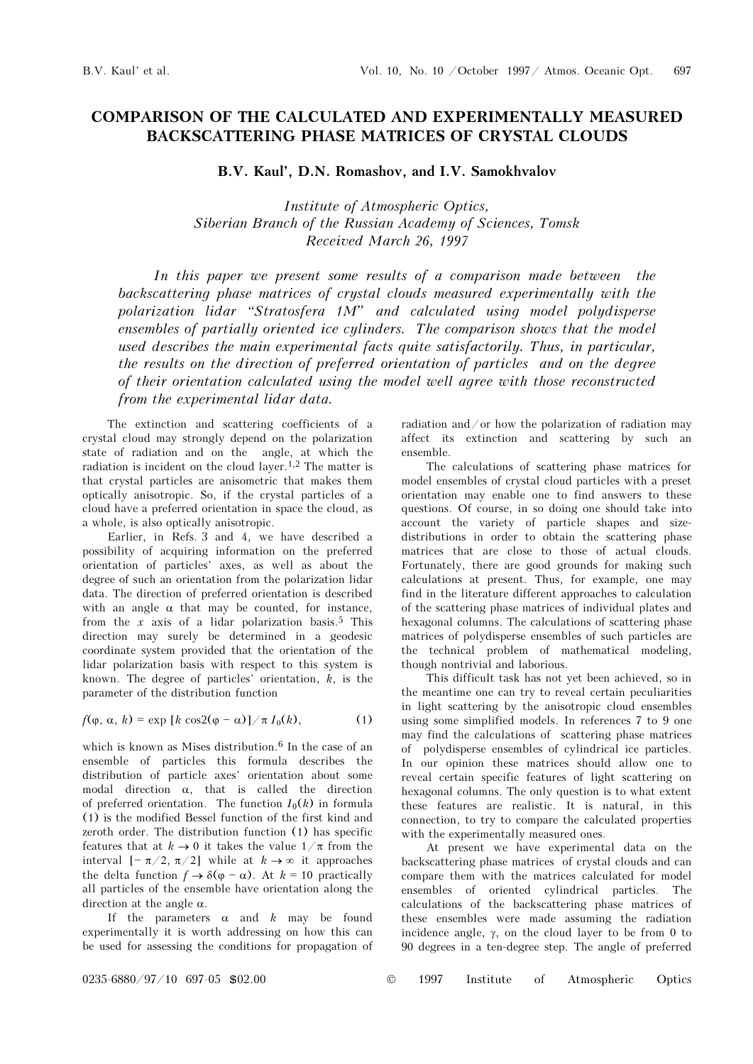## COMPARISON OF THE CALCULATED AND EXPERIMENTALLY MEASURED BACKSCATTERING PHASE MATRICES OF CRYSTAL CLOUDS

B.V. Kaul', D.N. Romashov, and I.V. Samokhvalov

Institute of Atmospheric Optics, Siberian Branch of the Russian Academy of Sciences, Tomsk Received March 26, 1997

In this paper we present some results of a comparison made between the backscattering phase matrices of crystal clouds measured experimentally with the polarization lidar "Stratosfera 1M" and calculated using model polydisperse ensembles of partially oriented ice cylinders. The comparison shows that the model used describes the main experimental facts quite satisfactorily. Thus, in particular, the results on the direction of preferred orientation of particles and on the degree of their orientation calculated using the model well agree with those reconstructed from the experimental lidar data.

The extinction and scattering coefficients of a crystal cloud may strongly depend on the polarization state of radiation and on the angle, at which the radiation is incident on the cloud layer.1,2 The matter is that crystal particles are anisometric that makes them optically anisotropic. So, if the crystal particles of a cloud have a preferred orientation in space the cloud, as a whole, is also optically anisotropic.

Earlier, in Refs. 3 and 4, we have described a possibility of acquiring information on the preferred orientation of particles' axes, as well as about the degree of such an orientation from the polarization lidar data. The direction of preferred orientation is described with an angle  $\alpha$  that may be counted, for instance, from the x axis of a lidar polarization basis.<sup>5</sup> This direction may surely be determined in a geodesic coordinate system provided that the orientation of the lidar polarization basis with respect to this system is known. The degree of particles' orientation,  $k$ , is the parameter of the distribution function

$$
f(\varphi, \alpha, k) = \exp [k \cos 2(\varphi - \alpha)] / \pi I_0(k), \qquad (1)
$$

which is known as Mises distribution.<sup>6</sup> In the case of an ensemble of particles this formula describes the distribution of particle axes' orientation about some modal direction  $\alpha$ , that is called the direction of preferred orientation. The function  $I_0(k)$  in formula (1) is the modified Bessel function of the first kind and zeroth order. The distribution function (1) has specific features that at  $k \to 0$  it takes the value  $1/\pi$  from the interval  $[-\pi/2, \pi/2]$  while at  $k \to \infty$  it approaches the delta function  $f \to \delta(\varphi - \alpha)$ . At  $k = 10$  practically all particles of the ensemble have orientation along the direction at the angle  $\alpha$ .

If the parameters  $\alpha$  and  $k$  may be found experimentally it is worth addressing on how this can be used for assessing the conditions for propagation of radiation and/or how the polarization of radiation may affect its extinction and scattering by such an ensemble.

The calculations of scattering phase matrices for model ensembles of crystal cloud particles with a preset orientation may enable one to find answers to these questions. Of course, in so doing one should take into account the variety of particle shapes and sizedistributions in order to obtain the scattering phase matrices that are close to those of actual clouds. Fortunately, there are good grounds for making such calculations at present. Thus, for example, one may find in the literature different approaches to calculation of the scattering phase matrices of individual plates and hexagonal columns. The calculations of scattering phase matrices of polydisperse ensembles of such particles are the technical problem of mathematical modeling, though nontrivial and laborious.

This difficult task has not yet been achieved, so in the meantime one can try to reveal certain peculiarities in light scattering by the anisotropic cloud ensembles using some simplified models. In references 7 to 9 one may find the calculations of scattering phase matrices of polydisperse ensembles of cylindrical ice particles. In our opinion these matrices should allow one to reveal certain specific features of light scattering on hexagonal columns. The only question is to what extent these features are realistic. It is natural, in this connection, to try to compare the calculated properties with the experimentally measured ones.

At present we have experimental data on the backscattering phase matrices of crystal clouds and can compare them with the matrices calculated for model ensembles of oriented cylindrical particles. The calculations of the backscattering phase matrices of these ensembles were made assuming the radiation incidence angle, γ, on the cloud layer to be from 0 to 90 degrees in a ten-degree step. The angle of preferred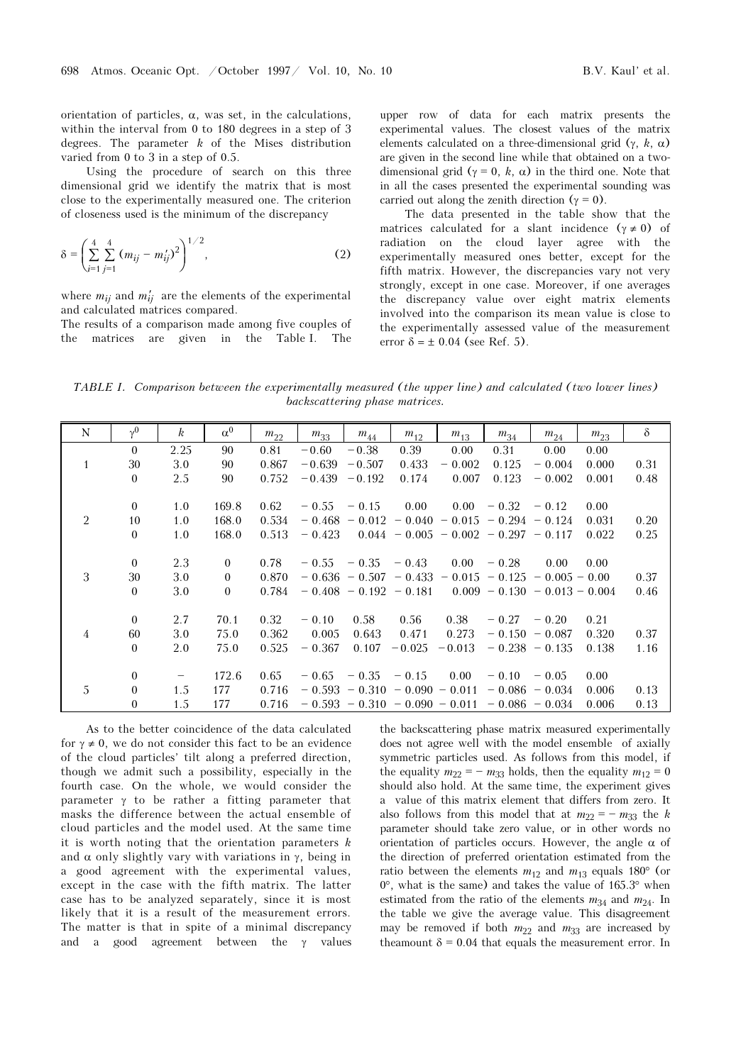orientation of particles,  $\alpha$ , was set, in the calculations, within the interval from 0 to 180 degrees in a step of 3 degrees. The parameter  $k$  of the Mises distribution varied from 0 to 3 in a step of 0.5.

Using the procedure of search on this three dimensional grid we identify the matrix that is most close to the experimentally measured one. The criterion of closeness used is the minimum of the discrepancy

$$
\delta = \left(\sum_{i=1}^{4} \sum_{j=1}^{4} (m_{ij} - m'_{ij})^2\right)^{1/2},\tag{2}
$$

where  $m_{ij}$  and  $m'_{ij}$  are the elements of the experimental and calculated matrices compared.

The results of a comparison made among five couples of the matrices are given in the Table I. The

upper row of data for each matrix presents the experimental values. The closest values of the matrix elements calculated on a three-dimensional grid  $(\gamma, k, \alpha)$ are given in the second line while that obtained on a twodimensional grid ( $\gamma = 0$ , k,  $\alpha$ ) in the third one. Note that in all the cases presented the experimental sounding was carried out along the zenith direction ( $\gamma = 0$ ).

The data presented in the table show that the matrices calculated for a slant incidence  $(y \neq 0)$  of radiation on the cloud layer agree with the experimentally measured ones better, except for the fifth matrix. However, the discrepancies vary not very strongly, except in one case. Moreover, if one averages the discrepancy value over eight matrix elements involved into the comparison its mean value is close to the experimentally assessed value of the measurement error  $\delta = \pm 0.04$  (see Ref. 5).

TABLE I. Comparison between the experimentally measured (the upper line) and calculated (two lower lines) backscattering phase matrices.

| N              | $v^0$          | $\boldsymbol{k}$  | $\alpha^0$     | $m_{22}$ | $m_{33}$  | $m_{44}$                 | $m_{12}$                 | $m_{13}$                                | $m_{34}$         | $m_{24}$                        | $m_{23}$ | $\delta$ |
|----------------|----------------|-------------------|----------------|----------|-----------|--------------------------|--------------------------|-----------------------------------------|------------------|---------------------------------|----------|----------|
|                | $\theta$       | 2.25              | 90             | 0.81     | $-0.60$   | $-0.38$                  | 0.39                     | 0.00                                    | 0.31             | 0.00                            | 0.00     |          |
| $\mathbf{1}$   | 30             | 3.0               | 90             | 0.867    | $-0.639$  | $-0.507$                 | 0.433                    | $-0.002$                                | 0.125            | $-0.004$                        | 0.000    | 0.31     |
|                | $\theta$       | 2.5               | 90             | 0.752    | $-0.439$  | $-0.192$                 | 0.174                    | 0.007                                   | 0.123            | $-0.002$                        | 0.001    | 0.48     |
|                |                |                   |                |          |           |                          |                          |                                         |                  |                                 |          |          |
|                | $\theta$       | 1.0               | 169.8          | 0.62     | $= 0.55$  | $= 0.15$                 | 0.00                     | 0.00                                    | $-0.32$          | $-0.12$                         | 0.00     |          |
| $\overline{2}$ | 10             | 1.0               | 168.0          | 0.534    | $= 0.468$ | $-0.012$                 |                          | $-0.040 - 0.015 - 0.294$                |                  | $-0.124$                        | 0.031    | 0.20     |
|                | $\overline{0}$ | 1.0               | 168.0          | 0.513    | $-0.423$  |                          |                          | $0.044 - 0.005 - 0.002 - 0.297 - 0.117$ |                  |                                 | 0.022    | 0.25     |
|                |                |                   |                |          |           |                          |                          |                                         |                  |                                 |          |          |
|                | $\overline{0}$ | 2.3               | $\mathbf{0}$   | 0.78     | $-0.55$   | $-0.35$                  | $-0.43$                  | 0.00                                    | $-0.28$          | 0.00                            | 0.00     |          |
| 3              | 30             | 3.0               | $\theta$       | 0.870    |           | $-0.636 - 0.507$         | $-0.433$                 |                                         | $-0.015 - 0.125$ | $-0.005 - 0.00$                 |          | 0.37     |
|                | $\overline{0}$ | 3.0               | $\overline{0}$ | 0.784    |           | $-0.408 - 0.192 - 0.181$ |                          |                                         |                  | $0.009 - 0.130 - 0.013 - 0.004$ |          | 0.46     |
|                |                |                   |                |          |           |                          |                          |                                         |                  |                                 |          |          |
|                | $\theta$       | 2.7               | 70.1           | 0.32     | $-0.10$   | 0.58                     | 0.56                     | 0.38                                    | $-0.27$          | $-0.20$                         | 0.21     |          |
| 4              | 60             | 3.0               | 75.0           | 0.362    | 0.005     | 0.643                    | 0.471                    | 0.273                                   | $-0.150$         | $-0.087$                        | 0.320    | 0.37     |
|                | $\theta$       | 2.0               | 75.0           | 0.525    | $-0.367$  | 0.107                    | $-0.025$                 | $-0.013$                                | $-0.238 - 0.135$ |                                 | 0.138    | 1.16     |
|                |                |                   |                |          |           |                          |                          |                                         |                  |                                 |          |          |
|                | $\theta$       | $\qquad \qquad -$ | 172.6          | 0.65     | $-0.65$   | $-0.35$                  | $= 0.15$                 | 0.00                                    | $-0.10$          | $-0.05$                         | 0.00     |          |
| 5              | $\mathbf{0}$   | 1.5               | 177            | 0.716    | $-0.593$  | $-0.310$                 | $-0.090 - 0.011$         |                                         | $-0.086$         | $-0.034$                        | 0.006    | 0.13     |
|                | $\theta$       | 1.5               | 177            | 0.716    | $-0.593$  |                          | $-0.310 - 0.090 - 0.011$ |                                         | $-0.086 - 0.034$ |                                 | 0.006    | 0.13     |

As to the better coincidence of the data calculated for  $\gamma \neq 0$ , we do not consider this fact to be an evidence of the cloud particles' tilt along a preferred direction, though we admit such a possibility, especially in the fourth case. On the whole, we would consider the parameter  $\gamma$  to be rather a fitting parameter that masks the difference between the actual ensemble of cloud particles and the model used. At the same time it is worth noting that the orientation parameters  $k$ and  $\alpha$  only slightly vary with variations in γ, being in a good agreement with the experimental values, except in the case with the fifth matrix. The latter case has to be analyzed separately, since it is most likely that it is a result of the measurement errors. The matter is that in spite of a minimal discrepancy and a good agreement between the  $\gamma$  values

the backscattering phase matrix measured experimentally does not agree well with the model ensemble of axially symmetric particles used. As follows from this model, if the equality  $m_{22} = - m_{33}$  holds, then the equality  $m_{12} = 0$ should also hold. At the same time, the experiment gives a value of this matrix element that differs from zero. It also follows from this model that at  $m_{22} = - m_{33}$  the k parameter should take zero value, or in other words no orientation of particles occurs. However, the angle  $\alpha$  of the direction of preferred orientation estimated from the ratio between the elements  $m_{12}$  and  $m_{13}$  equals 180° (or  $0^{\circ}$ , what is the same) and takes the value of 165.3° when estimated from the ratio of the elements  $m_{34}$  and  $m_{24}$ . In the table we give the average value. This disagreement may be removed if both  $m_{22}$  and  $m_{33}$  are increased by theamount  $\delta = 0.04$  that equals the measurement error. In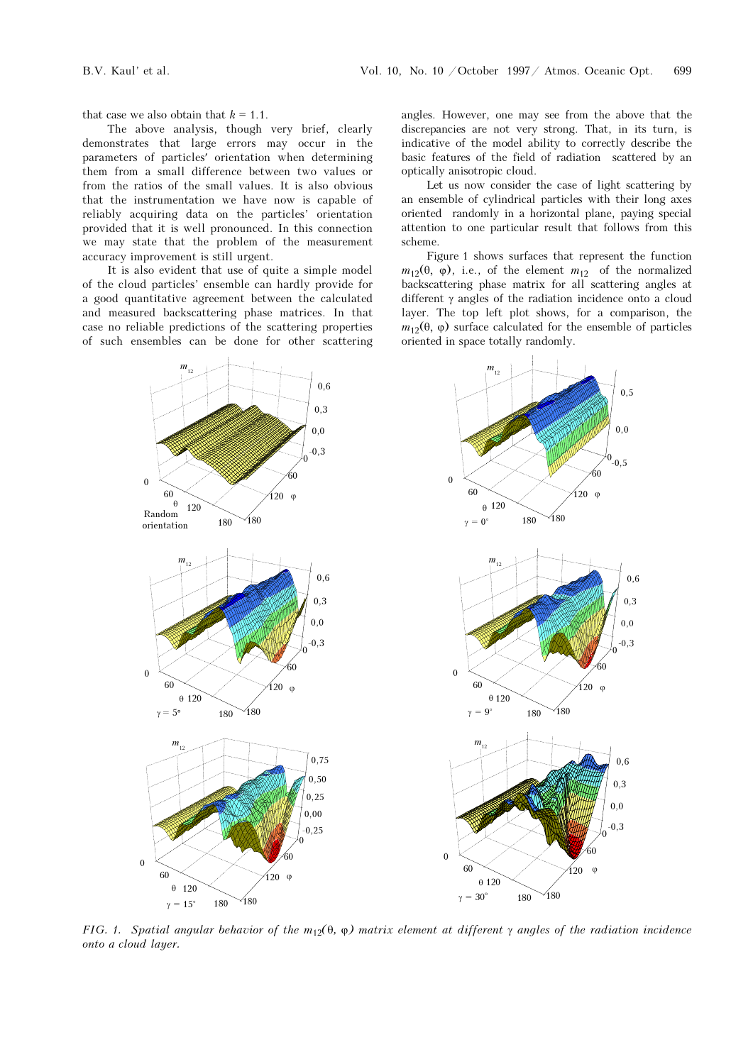that case we also obtain that  $k = 1.1$ .

The above analysis, though very brief, clearly demonstrates that large errors may occur in the parameters of particles′ orientation when determining them from a small difference between two values or from the ratios of the small values. It is also obvious that the instrumentation we have now is capable of reliably acquiring data on the particles' orientation provided that it is well pronounced. In this connection we may state that the problem of the measurement accuracy improvement is still urgent.

It is also evident that use of quite a simple model of the cloud particles' ensemble can hardly provide for a good quantitative agreement between the calculated and measured backscattering phase matrices. In that case no reliable predictions of the scattering properties of such ensembles can be done for other scattering angles. However, one may see from the above that the discrepancies are not very strong. That, in its turn, is indicative of the model ability to correctly describe the basic features of the field of radiation scattered by an optically anisotropic cloud.

Let us now consider the case of light scattering by an ensemble of cylindrical particles with their long axes oriented randomly in a horizontal plane, paying special attention to one particular result that follows from this scheme.

Figure 1 shows surfaces that represent the function  $m_{12}(\theta, \varphi)$ , i.e., of the element  $m_{12}$  of the normalized backscattering phase matrix for all scattering angles at different γ angles of the radiation incidence onto a cloud layer. The top left plot shows, for a comparison, the  $m_{12}(\theta, \varphi)$  surface calculated for the ensemble of particles oriented in space totally randomly.



FIG. 1. Spatial angular behavior of the  $m_1(0, \varphi)$  matrix element at different  $\gamma$  angles of the radiation incidence onto a cloud layer.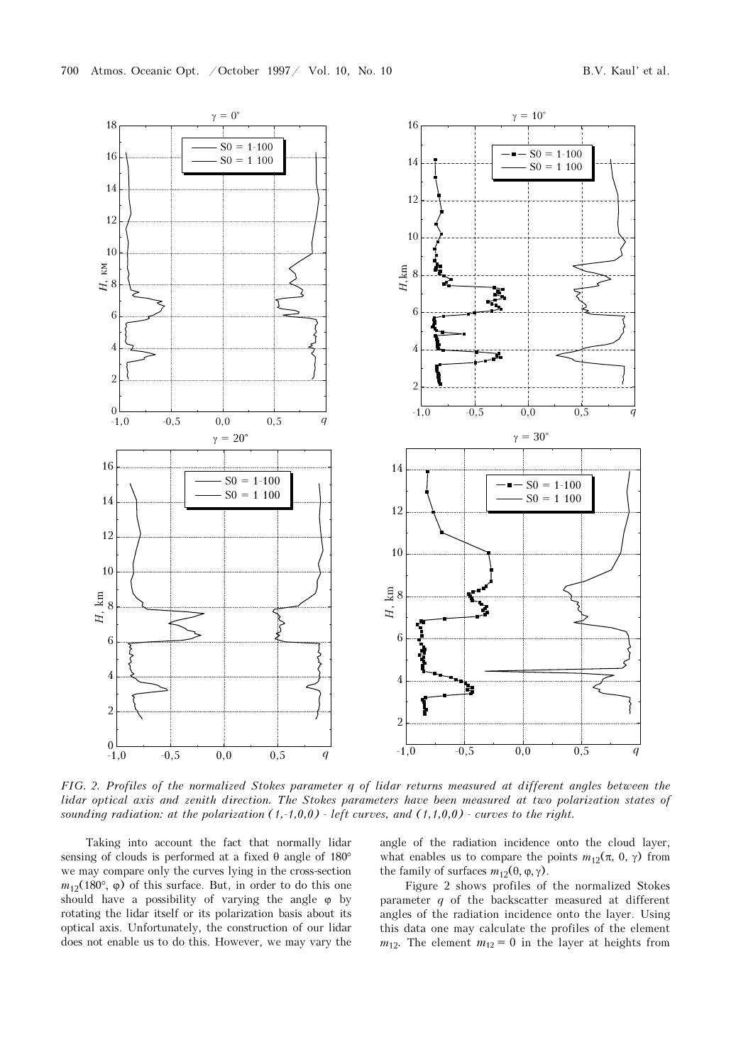

FIG. 2. Profiles of the normalized Stokes parameter q of lidar returns measured at different angles between the lidar optical axis and zenith direction. The Stokes parameters have been measured at two polarization states of sounding radiation: at the polarization  $(1,-1,0,0)$  - left curves, and  $(1,1,0,0)$  - curves to the right.

Taking into account the fact that normally lidar sensing of clouds is performed at a fixed θ angle of 180° we may compare only the curves lying in the cross-section  $m_{12}(180^{\circ}, \varphi)$  of this surface. But, in order to do this one should have a possibility of varying the angle  $\varphi$  by rotating the lidar itself or its polarization basis about its optical axis. Unfortunately, the construction of our lidar does not enable us to do this. However, we may vary the angle of the radiation incidence onto the cloud layer, what enables us to compare the points  $m_{12}(\pi, 0, \gamma)$  from the family of surfaces  $m_1$ <sub>2</sub>(θ, φ, γ).

Figure 2 shows profiles of the normalized Stokes parameter q of the backscatter measured at different angles of the radiation incidence onto the layer. Using this data one may calculate the profiles of the element  $m_{12}$ . The element  $m_{12} = 0$  in the layer at heights from